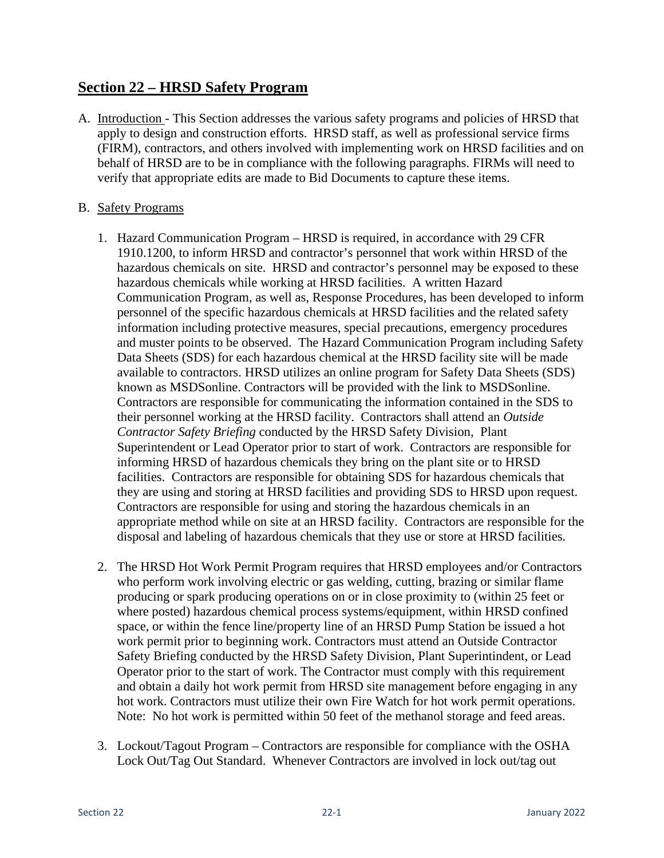## **Section 22 – HRSD Safety Program**

A. Introduction - This Section addresses the various safety programs and policies of HRSD that apply to design and construction efforts. HRSD staff, as well as professional service firms (FIRM), contractors, and others involved with implementing work on HRSD facilities and on behalf of HRSD are to be in compliance with the following paragraphs. FIRMs will need to verify that appropriate edits are made to Bid Documents to capture these items.

## B. Safety Programs

- 1. Hazard Communication Program HRSD is required, in accordance with 29 CFR 1910.1200, to inform HRSD and contractor's personnel that work within HRSD of the hazardous chemicals on site. HRSD and contractor's personnel may be exposed to these hazardous chemicals while working at HRSD facilities. A written Hazard Communication Program, as well as, Response Procedures, has been developed to inform personnel of the specific hazardous chemicals at HRSD facilities and the related safety information including protective measures, special precautions, emergency procedures and muster points to be observed. The Hazard Communication Program including Safety Data Sheets (SDS) for each hazardous chemical at the HRSD facility site will be made available to contractors. HRSD utilizes an online program for Safety Data Sheets (SDS) known as MSDSonline. Contractors will be provided with the link to MSDSonline. Contractors are responsible for communicating the information contained in the SDS to their personnel working at the HRSD facility. Contractors shall attend an *Outside Contractor Safety Briefing* conducted by the HRSD Safety Division, Plant Superintendent or Lead Operator prior to start of work. Contractors are responsible for informing HRSD of hazardous chemicals they bring on the plant site or to HRSD facilities. Contractors are responsible for obtaining SDS for hazardous chemicals that they are using and storing at HRSD facilities and providing SDS to HRSD upon request. Contractors are responsible for using and storing the hazardous chemicals in an appropriate method while on site at an HRSD facility. Contractors are responsible for the disposal and labeling of hazardous chemicals that they use or store at HRSD facilities.
- 2. The HRSD Hot Work Permit Program requires that HRSD employees and/or Contractors who perform work involving electric or gas welding, cutting, brazing or similar flame producing or spark producing operations on or in close proximity to (within 25 feet or where posted) hazardous chemical process systems/equipment, within HRSD confined space, or within the fence line/property line of an HRSD Pump Station be issued a hot work permit prior to beginning work. Contractors must attend an Outside Contractor Safety Briefing conducted by the HRSD Safety Division, Plant Superintindent, or Lead Operator prior to the start of work. The Contractor must comply with this requirement and obtain a daily hot work permit from HRSD site management before engaging in any hot work. Contractors must utilize their own Fire Watch for hot work permit operations. Note: No hot work is permitted within 50 feet of the methanol storage and feed areas.
- 3. Lockout/Tagout Program Contractors are responsible for compliance with the OSHA Lock Out/Tag Out Standard. Whenever Contractors are involved in lock out/tag out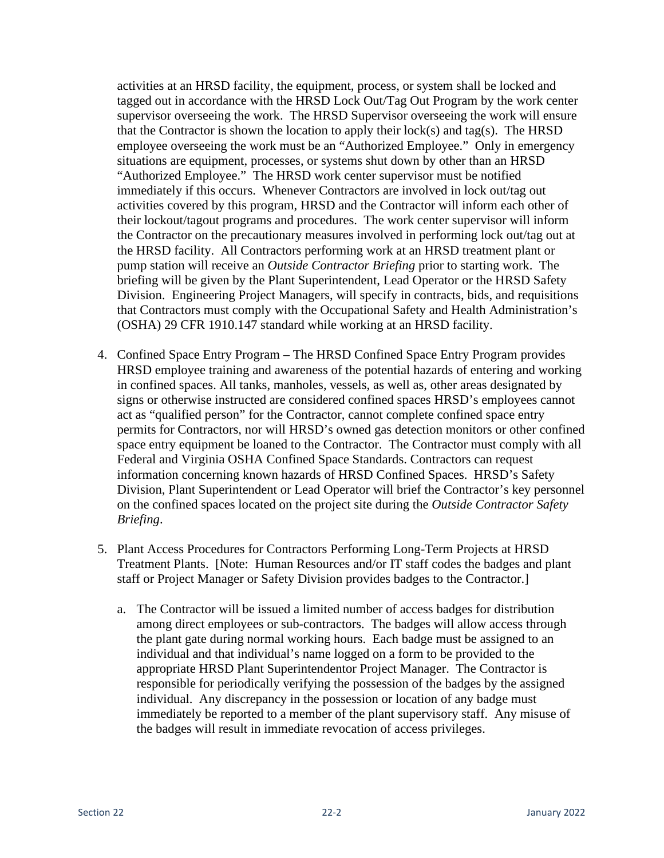activities at an HRSD facility, the equipment, process, or system shall be locked and tagged out in accordance with the HRSD Lock Out/Tag Out Program by the work center supervisor overseeing the work. The HRSD Supervisor overseeing the work will ensure that the Contractor is shown the location to apply their  $lock(s)$  and tag(s). The HRSD employee overseeing the work must be an "Authorized Employee." Only in emergency situations are equipment, processes, or systems shut down by other than an HRSD "Authorized Employee." The HRSD work center supervisor must be notified immediately if this occurs. Whenever Contractors are involved in lock out/tag out activities covered by this program, HRSD and the Contractor will inform each other of their lockout/tagout programs and procedures. The work center supervisor will inform the Contractor on the precautionary measures involved in performing lock out/tag out at the HRSD facility. All Contractors performing work at an HRSD treatment plant or pump station will receive an *Outside Contractor Briefing* prior to starting work. The briefing will be given by the Plant Superintendent, Lead Operator or the HRSD Safety Division. Engineering Project Managers, will specify in contracts, bids, and requisitions that Contractors must comply with the Occupational Safety and Health Administration's (OSHA) 29 CFR 1910.147 standard while working at an HRSD facility.

- 4. Confined Space Entry Program The HRSD Confined Space Entry Program provides HRSD employee training and awareness of the potential hazards of entering and working in confined spaces. All tanks, manholes, vessels, as well as, other areas designated by signs or otherwise instructed are considered confined spaces HRSD's employees cannot act as "qualified person" for the Contractor, cannot complete confined space entry permits for Contractors, nor will HRSD's owned gas detection monitors or other confined space entry equipment be loaned to the Contractor. The Contractor must comply with all Federal and Virginia OSHA Confined Space Standards. Contractors can request information concerning known hazards of HRSD Confined Spaces. HRSD's Safety Division, Plant Superintendent or Lead Operator will brief the Contractor's key personnel on the confined spaces located on the project site during the *Outside Contractor Safety Briefing*.
- 5. Plant Access Procedures for Contractors Performing Long-Term Projects at HRSD Treatment Plants. [Note: Human Resources and/or IT staff codes the badges and plant staff or Project Manager or Safety Division provides badges to the Contractor.]
	- a. The Contractor will be issued a limited number of access badges for distribution among direct employees or sub-contractors. The badges will allow access through the plant gate during normal working hours. Each badge must be assigned to an individual and that individual's name logged on a form to be provided to the appropriate HRSD Plant Superintendentor Project Manager. The Contractor is responsible for periodically verifying the possession of the badges by the assigned individual. Any discrepancy in the possession or location of any badge must immediately be reported to a member of the plant supervisory staff. Any misuse of the badges will result in immediate revocation of access privileges.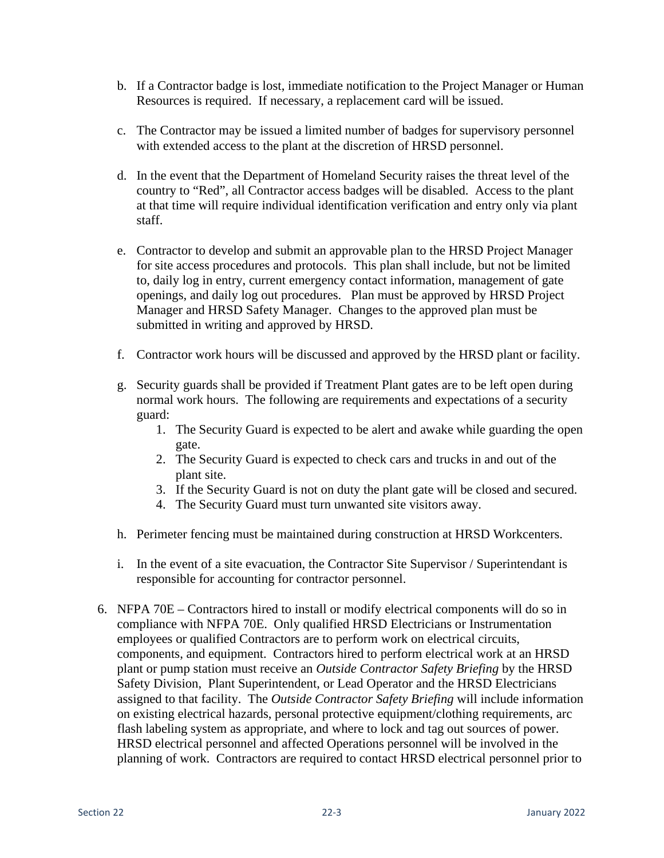- b. If a Contractor badge is lost, immediate notification to the Project Manager or Human Resources is required. If necessary, a replacement card will be issued.
- c. The Contractor may be issued a limited number of badges for supervisory personnel with extended access to the plant at the discretion of HRSD personnel.
- d. In the event that the Department of Homeland Security raises the threat level of the country to "Red", all Contractor access badges will be disabled. Access to the plant at that time will require individual identification verification and entry only via plant staff.
- e. Contractor to develop and submit an approvable plan to the HRSD Project Manager for site access procedures and protocols. This plan shall include, but not be limited to, daily log in entry, current emergency contact information, management of gate openings, and daily log out procedures. Plan must be approved by HRSD Project Manager and HRSD Safety Manager. Changes to the approved plan must be submitted in writing and approved by HRSD.
- f. Contractor work hours will be discussed and approved by the HRSD plant or facility.
- g. Security guards shall be provided if Treatment Plant gates are to be left open during normal work hours. The following are requirements and expectations of a security guard:
	- 1. The Security Guard is expected to be alert and awake while guarding the open gate.
	- 2. The Security Guard is expected to check cars and trucks in and out of the plant site.
	- 3. If the Security Guard is not on duty the plant gate will be closed and secured.
	- 4. The Security Guard must turn unwanted site visitors away.
- h. Perimeter fencing must be maintained during construction at HRSD Workcenters.
- i. In the event of a site evacuation, the Contractor Site Supervisor / Superintendant is responsible for accounting for contractor personnel.
- 6. NFPA 70E Contractors hired to install or modify electrical components will do so in compliance with NFPA 70E. Only qualified HRSD Electricians or Instrumentation employees or qualified Contractors are to perform work on electrical circuits, components, and equipment. Contractors hired to perform electrical work at an HRSD plant or pump station must receive an *Outside Contractor Safety Briefing* by the HRSD Safety Division, Plant Superintendent, or Lead Operator and the HRSD Electricians assigned to that facility. The *Outside Contractor Safety Briefing* will include information on existing electrical hazards, personal protective equipment/clothing requirements, arc flash labeling system as appropriate, and where to lock and tag out sources of power. HRSD electrical personnel and affected Operations personnel will be involved in the planning of work. Contractors are required to contact HRSD electrical personnel prior to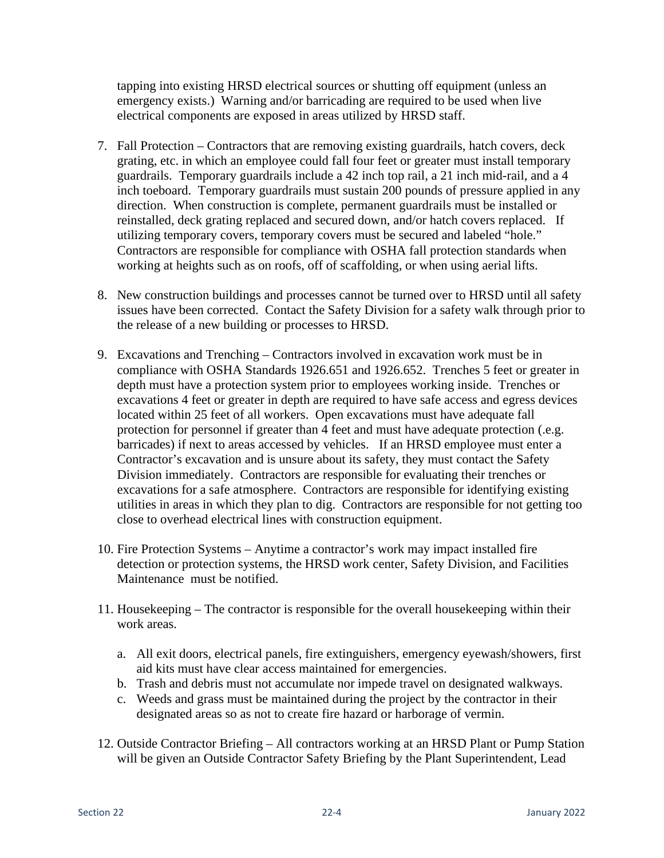tapping into existing HRSD electrical sources or shutting off equipment (unless an emergency exists.) Warning and/or barricading are required to be used when live electrical components are exposed in areas utilized by HRSD staff.

- 7. Fall Protection Contractors that are removing existing guardrails, hatch covers, deck grating, etc. in which an employee could fall four feet or greater must install temporary guardrails. Temporary guardrails include a 42 inch top rail, a 21 inch mid-rail, and a 4 inch toeboard. Temporary guardrails must sustain 200 pounds of pressure applied in any direction. When construction is complete, permanent guardrails must be installed or reinstalled, deck grating replaced and secured down, and/or hatch covers replaced. If utilizing temporary covers, temporary covers must be secured and labeled "hole." Contractors are responsible for compliance with OSHA fall protection standards when working at heights such as on roofs, off of scaffolding, or when using aerial lifts.
- 8. New construction buildings and processes cannot be turned over to HRSD until all safety issues have been corrected. Contact the Safety Division for a safety walk through prior to the release of a new building or processes to HRSD.
- 9. Excavations and Trenching Contractors involved in excavation work must be in compliance with OSHA Standards 1926.651 and 1926.652. Trenches 5 feet or greater in depth must have a protection system prior to employees working inside. Trenches or excavations 4 feet or greater in depth are required to have safe access and egress devices located within 25 feet of all workers. Open excavations must have adequate fall protection for personnel if greater than 4 feet and must have adequate protection (.e.g. barricades) if next to areas accessed by vehicles. If an HRSD employee must enter a Contractor's excavation and is unsure about its safety, they must contact the Safety Division immediately. Contractors are responsible for evaluating their trenches or excavations for a safe atmosphere. Contractors are responsible for identifying existing utilities in areas in which they plan to dig. Contractors are responsible for not getting too close to overhead electrical lines with construction equipment.
- 10. Fire Protection Systems Anytime a contractor's work may impact installed fire detection or protection systems, the HRSD work center, Safety Division, and Facilities Maintenance must be notified.
- 11. Housekeeping The contractor is responsible for the overall housekeeping within their work areas.
	- a. All exit doors, electrical panels, fire extinguishers, emergency eyewash/showers, first aid kits must have clear access maintained for emergencies.
	- b. Trash and debris must not accumulate nor impede travel on designated walkways.
	- c. Weeds and grass must be maintained during the project by the contractor in their designated areas so as not to create fire hazard or harborage of vermin.
- 12. Outside Contractor Briefing All contractors working at an HRSD Plant or Pump Station will be given an Outside Contractor Safety Briefing by the Plant Superintendent, Lead